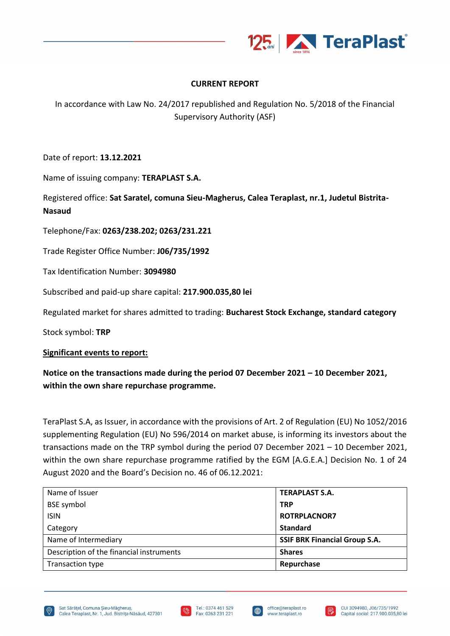

## **CURRENT REPORT**

In accordance with Law No. 24/2017 republished and Regulation No. 5/2018 of the Financial Supervisory Authority (ASF)

Date of report: **13.12.2021**

Name of issuing company: **TERAPLAST S.A.**

Registered office: **Sat Saratel, comuna Sieu-Magherus, Calea Teraplast, nr.1, Judetul Bistrita-Nasaud**

Telephone/Fax: **0263/238.202; 0263/231.221**

Trade Register Office Number: **J06/735/1992**

Tax Identification Number: **3094980**

Subscribed and paid-up share capital: **217.900.035,80 lei**

Regulated market for shares admitted to trading: **Bucharest Stock Exchange, standard category**

Stock symbol: **TRP**

## **Significant events to report:**

## **Notice on the transactions made during the period 07 December 2021 – 10 December 2021, within the own share repurchase programme.**

TeraPlast S.A, as Issuer, in accordance with the provisions of Art. 2 of Regulation (EU) No 1052/2016 supplementing Regulation (EU) No 596/2014 on market abuse, is informing its investors about the transactions made on the TRP symbol during the period 07 December 2021 – 10 December 2021, within the own share repurchase programme ratified by the EGM [A.G.E.A.] Decision No. 1 of 24 August 2020 and the Board's Decision no. 46 of 06.12.2021:

| Name of Issuer                           | <b>TERAPLAST S.A.</b>                |
|------------------------------------------|--------------------------------------|
| <b>BSE</b> symbol                        | <b>TRP</b>                           |
| <b>ISIN</b>                              | <b>ROTRPLACNOR7</b>                  |
| Category                                 | <b>Standard</b>                      |
| Name of Intermediary                     | <b>SSIF BRK Financial Group S.A.</b> |
| Description of the financial instruments | <b>Shares</b>                        |
| Transaction type                         | Repurchase                           |





I⊕

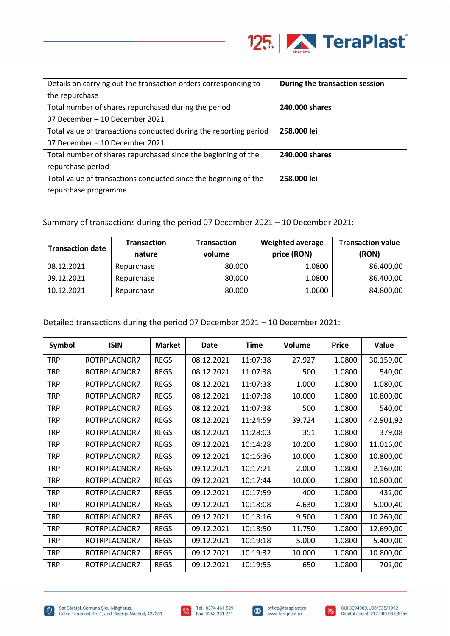

| Details on carrying out the transaction orders corresponding to   | During the transaction session |
|-------------------------------------------------------------------|--------------------------------|
| the repurchase                                                    |                                |
| Total number of shares repurchased during the period              | 240,000 shares                 |
| 07 December – 10 December 2021                                    |                                |
| Total value of transactions conducted during the reporting period | 258.000 lei                    |
| 07 December – 10 December 2021                                    |                                |
| Total number of shares repurchased since the beginning of the     | 240,000 shares                 |
| repurchase period                                                 |                                |
| Total value of transactions conducted since the beginning of the  | 258.000 lei                    |
| repurchase programme                                              |                                |

Summary of transactions during the period 07 December 2021 – 10 December 2021:

| <b>Transaction date</b> | <b>Transaction</b><br>nature | <b>Transaction</b><br>volume | <b>Weighted average</b><br>price (RON) | <b>Transaction value</b><br>(RON) |  |
|-------------------------|------------------------------|------------------------------|----------------------------------------|-----------------------------------|--|
| 08.12.2021              | Repurchase                   | 80,000                       | 1.0800                                 | 86.400,00                         |  |
| 09.12.2021              | Repurchase                   | 80.000                       | 1.0800                                 | 86.400,00                         |  |
| 10.12.2021              | Repurchase                   | 80,000                       | 1.0600                                 | 84.800,00                         |  |

Detailed transactions during the period 07 December 2021 – 10 December 2021:

| Symbol     | <b>ISIN</b>  | <b>Market</b> | Date       | <b>Time</b> | Volume | <b>Price</b> | Value     |
|------------|--------------|---------------|------------|-------------|--------|--------------|-----------|
| <b>TRP</b> | ROTRPLACNOR7 | <b>REGS</b>   | 08.12.2021 | 11:07:38    | 27.927 | 1.0800       | 30.159,00 |
| <b>TRP</b> | ROTRPLACNOR7 | <b>REGS</b>   | 08.12.2021 | 11:07:38    | 500    | 1.0800       | 540,00    |
| <b>TRP</b> | ROTRPLACNOR7 | <b>REGS</b>   | 08.12.2021 | 11:07:38    | 1.000  | 1.0800       | 1.080,00  |
| <b>TRP</b> | ROTRPLACNOR7 | <b>REGS</b>   | 08.12.2021 | 11:07:38    | 10.000 | 1.0800       | 10.800,00 |
| <b>TRP</b> | ROTRPLACNOR7 | <b>REGS</b>   | 08.12.2021 | 11:07:38    | 500    | 1.0800       | 540,00    |
| TRP        | ROTRPLACNOR7 | <b>REGS</b>   | 08.12.2021 | 11:24:59    | 39.724 | 1.0800       | 42.901,92 |
| <b>TRP</b> | ROTRPLACNOR7 | <b>REGS</b>   | 08.12.2021 | 11:28:03    | 351    | 1.0800       | 379,08    |
| <b>TRP</b> | ROTRPLACNOR7 | <b>REGS</b>   | 09.12.2021 | 10:14:28    | 10.200 | 1.0800       | 11.016,00 |
| <b>TRP</b> | ROTRPLACNOR7 | <b>REGS</b>   | 09.12.2021 | 10:16:36    | 10.000 | 1.0800       | 10.800,00 |
| <b>TRP</b> | ROTRPLACNOR7 | <b>REGS</b>   | 09.12.2021 | 10:17:21    | 2.000  | 1.0800       | 2.160,00  |
| <b>TRP</b> | ROTRPLACNOR7 | <b>REGS</b>   | 09.12.2021 | 10:17:44    | 10.000 | 1.0800       | 10.800,00 |
| <b>TRP</b> | ROTRPLACNOR7 | <b>REGS</b>   | 09.12.2021 | 10:17:59    | 400    | 1.0800       | 432,00    |
| <b>TRP</b> | ROTRPLACNOR7 | <b>REGS</b>   | 09.12.2021 | 10:18:08    | 4.630  | 1.0800       | 5.000,40  |
| <b>TRP</b> | ROTRPLACNOR7 | <b>REGS</b>   | 09.12.2021 | 10:18:16    | 9.500  | 1.0800       | 10.260,00 |
| <b>TRP</b> | ROTRPLACNOR7 | <b>REGS</b>   | 09.12.2021 | 10:18:50    | 11.750 | 1.0800       | 12.690,00 |
| <b>TRP</b> | ROTRPLACNOR7 | <b>REGS</b>   | 09.12.2021 | 10:19:18    | 5.000  | 1.0800       | 5.400,00  |
| <b>TRP</b> | ROTRPLACNOR7 | <b>REGS</b>   | 09.12.2021 | 10:19:32    | 10.000 | 1.0800       | 10.800,00 |
| <b>TRP</b> | ROTRPLACNOR7 | <b>REGS</b>   | 09.12.2021 | 10:19:55    | 650    | 1.0800       | 702,00    |